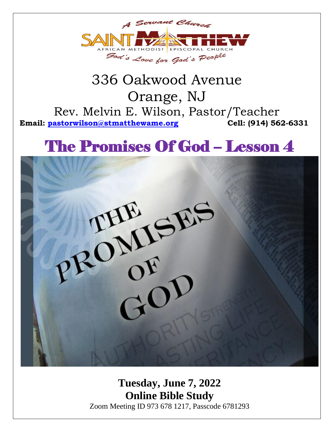

### 336 Oakwood Avenue Orange, NJ Rev. Melvin E. Wilson, Pastor/Teacher **Email: [pastorwilson@stmatthewame.org](mailto:pastorwilson@stmatthewame.org) Cell: (914) 562-6331**

# The Promises Of God – Lesson 4



**Tuesday, June 7, 2022 Online Bible Study** Zoom Meeting ID 973 678 1217, Passcode 6781293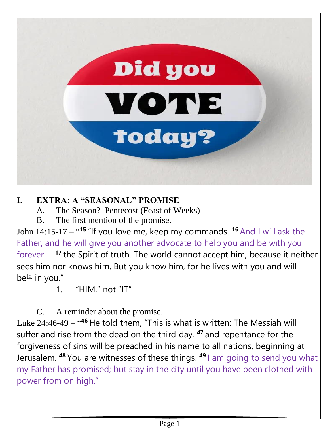

#### **I. EXTRA: A "SEASONAL" PROMISE**

A. The Season? Pentecost (Feast of Weeks)

B. The first mention of the promise.

John 14:15-17 – " **<sup>15</sup>** "If you love me, keep my commands. **<sup>16</sup>** And I will ask the Father, and he will give you another advocate to help you and be with you forever— **<sup>17</sup>** the Spirit of truth. The world cannot accept him, because it neither sees him nor knows him. But you know him, for he lives with you and will be<sup>[\[c\]](https://www.biblegateway.com/passage/?search=john+14&version=NIV#fen-NIV-26686c)</sup> in you."

1. "HIM," not "IT"

C. A reminder about the promise.

Luke 24:46-49 – "<sup>46</sup> He told them, "This is what is written: The Messiah will suffer and rise from the dead on the third day, **<sup>47</sup>** and repentance for the forgiveness of sins will be preached in his name to all nations, beginning at Jerusalem. **<sup>48</sup>** You are witnesses of these things. **<sup>49</sup>** I am going to send you what my Father has promised; but stay in the city until you have been clothed with power from on high."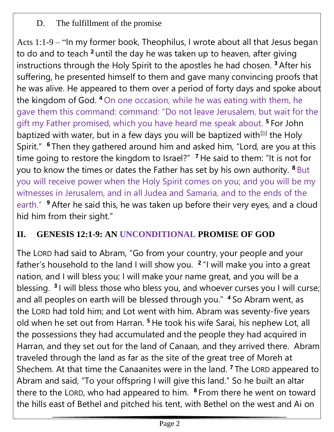D. The fulfillment of the promise

Acts 1:1-9 – "In my former book, Theophilus, I wrote about all that Jesus began to do and to teach **<sup>2</sup>** until the day he was taken up to heaven, after giving instructions through the Holy Spirit to the apostles he had chosen. **<sup>3</sup>** After his suffering, he presented himself to them and gave many convincing proofs that he was alive. He appeared to them over a period of forty days and spoke about the kingdom of God. **<sup>4</sup>** On one occasion, while he was eating with them, he gave them this command: command: "Do not leave Jerusalem, but wait for the gift my Father promised, which you have heard me speak about. **<sup>5</sup>** For John baptized with water, but in a few days you will be baptized with<sup>[\[b\]](https://www.biblegateway.com/passage/?search=acts+1&version=NIV#fen-NIV-26929b)</sup> the Holy Spirit." **<sup>6</sup>** Then they gathered around him and asked him, "Lord, are you at this time going to restore the kingdom to Israel?" **<sup>7</sup>** He said to them: "It is not for you to know the times or dates the Father has set by his own authority. **<sup>8</sup>** But you will receive power when the Holy Spirit comes on you; and you will be my witnesses in Jerusalem, and in all Judea and Samaria, and to the ends of the earth." **<sup>9</sup>** After he said this, he was taken up before their very eyes, and a cloud hid him from their sight."

#### **II. GENESIS 12:1-9: AN UNCONDITIONAL PROMISE OF GOD**

The LORD had said to Abram, "Go from your country, your people and your father's household to the land I will show you. **2** "I will make you into a great nation, and I will bless you; I will make your name great, and you will be a blessing. **<sup>3</sup>** I will bless those who bless you, and whoever curses you I will curse; and all peoples on earth will be blessed through you." **<sup>4</sup>** So Abram went, as the LORD had told him; and Lot went with him. Abram was seventy-five years old when he set out from Harran. **<sup>5</sup>** He took his wife Sarai, his nephew Lot, all the possessions they had accumulated and the people they had acquired in Harran, and they set out for the land of Canaan, and they arrived there. Abram traveled through the land as far as the site of the great tree of Moreh at Shechem. At that time the Canaanites were in the land. **<sup>7</sup>** The LORD appeared to Abram and said, "To your offspring I will give this land." So he built an altar there to the LORD, who had appeared to him. **<sup>8</sup>** From there he went on toward the hills east of Bethel and pitched his tent, with Bethel on the west and Ai on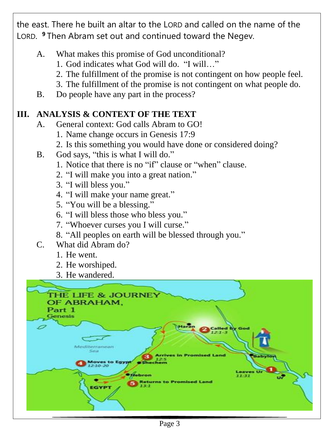the east. There he built an altar to the LORD and called on the name of the LORD. **<sup>9</sup>** Then Abram set out and continued toward the Negev.

- A. What makes this promise of God unconditional?
	- 1. God indicates what God will do. "I will…"
	- 2. The fulfillment of the promise is not contingent on how people feel.
	- 3. The fulfillment of the promise is not contingent on what people do.
- B. Do people have any part in the process?

#### **III. ANALYSIS & CONTEXT OF THE TEXT**

- A. General context: God calls Abram to GO!
	- 1. Name change occurs in Genesis 17:9
	- 2. Is this something you would have done or considered doing?
- B. God says, "this is what I will do."
	- 1. Notice that there is no "if" clause or "when" clause.
	- 2. "I will make you into a great nation."
	- 3. "I will bless you."
	- 4. "I will make your name great."
	- 5. "You will be a blessing."
	- 6. "I will bless those who bless you."
	- 7. "Whoever curses you I will curse."
	- 8. "All peoples on earth will be blessed through you."
- C. What did Abram do?
	- 1. He went.
	- 2. He worshiped.
	- 3. He wandered.

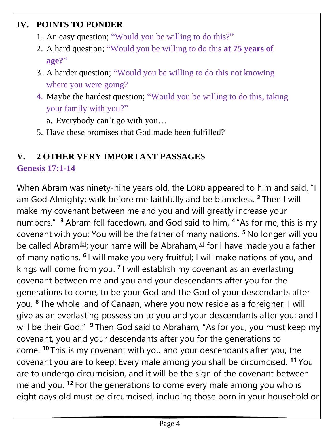#### **IV. POINTS TO PONDER**

- 1. An easy question; "Would you be willing to do this?"
- 2. A hard question; "Would you be willing to do this **at 75 years of age?**"
- 3. A harder question; "Would you be willing to do this not knowing where you were going?
- 4. Maybe the hardest question; "Would you be willing to do this, taking your family with you?"
	- a. Everybody can't go with you…
- 5. Have these promises that God made been fulfilled?

### **V. 2 OTHER VERY IMPORTANT PASSAGES**

#### **Genesis 17:1-14**

When Abram was ninety-nine years old, the LORD appeared to him and said, "I am God Almighty; walk before me faithfully and be blameless. **<sup>2</sup>** Then I will make my covenant between me and you and will greatly increase your numbers." **<sup>3</sup>** Abram fell facedown, and God said to him, **4** "As for me, this is my covenant with you: You will be the father of many nations. **<sup>5</sup>** No longer will you be called Abram<sup>[\[b\]](https://www.biblegateway.com/passage/?search=genesis+17&version=NIV#fen-NIV-403b)</sup>; your name will be Abraham,<sup>[\[c\]](https://www.biblegateway.com/passage/?search=genesis+17&version=NIV#fen-NIV-403c)</sup> for I have made you a father of many nations. <sup>6</sup> I will make you very fruitful; I will make nations of you, and kings will come from you. <sup>7</sup> I will establish my covenant as an everlasting covenant between me and you and your descendants after you for the generations to come, to be your God and the God of your descendants after you. **<sup>8</sup>** The whole land of Canaan, where you now reside as a foreigner, I will give as an everlasting possession to you and your descendants after you; and I will be their God." <sup>9</sup> Then God said to Abraham, "As for you, you must keep my covenant, you and your descendants after you for the generations to come. **<sup>10</sup>** This is my covenant with you and your descendants after you, the covenant you are to keep: Every male among you shall be circumcised. **<sup>11</sup>** You are to undergo circumcision, and it will be the sign of the covenant between me and you. **<sup>12</sup>** For the generations to come every male among you who is eight days old must be circumcised, including those born in your household or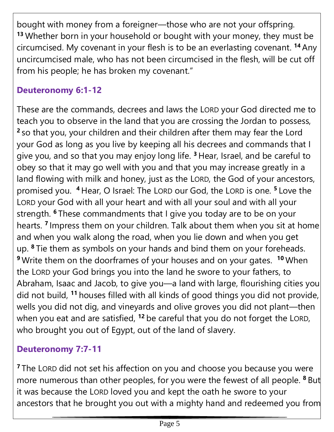bought with money from a foreigner—those who are not your offspring. **<sup>13</sup>** Whether born in your household or bought with your money, they must be circumcised. My covenant in your flesh is to be an everlasting covenant. **<sup>14</sup>** Any uncircumcised male, who has not been circumcised in the flesh, will be cut off from his people; he has broken my covenant."

#### **Deuteronomy 6:1-12**

These are the commands, decrees and laws the LORD your God directed me to teach you to observe in the land that you are crossing the Jordan to possess, **2** so that you, your children and their children after them may fear the Lord your God as long as you live by keeping all his decrees and commands that I give you, and so that you may enjoy long life. **<sup>3</sup>** Hear, Israel, and be careful to obey so that it may go well with you and that you may increase greatly in a land flowing with milk and honey, just as the LORD, the God of your ancestors, promised you. **<sup>4</sup>** Hear, O Israel: The LORD our God, the LORD is one. **<sup>5</sup>**Love the LORD your God with all your heart and with all your soul and with all your strength. **<sup>6</sup>** These commandments that I give you today are to be on your hearts. **7** Impress them on your children. Talk about them when you sit at home and when you walk along the road, when you lie down and when you get up. **<sup>8</sup>** Tie them as symbols on your hands and bind them on your foreheads. **<sup>9</sup>** Write them on the doorframes of your houses and on your gates. **<sup>10</sup>** When the LORD your God brings you into the land he swore to your fathers, to Abraham, Isaac and Jacob, to give you—a land with large, flourishing cities you did not build, **<sup>11</sup>** houses filled with all kinds of good things you did not provide, wells you did not dig, and vineyards and olive groves you did not plant—then when you eat and are satisfied, **<sup>12</sup>** be careful that you do not forget the LORD, who brought you out of Egypt, out of the land of slavery.

#### **Deuteronomy 7:7-11**

**<sup>7</sup>** The LORD did not set his affection on you and choose you because you were more numerous than other peoples, for you were the fewest of all people. **<sup>8</sup>** But it was because the LORD loved you and kept the oath he swore to your ancestors that he brought you out with a mighty hand and redeemed you from